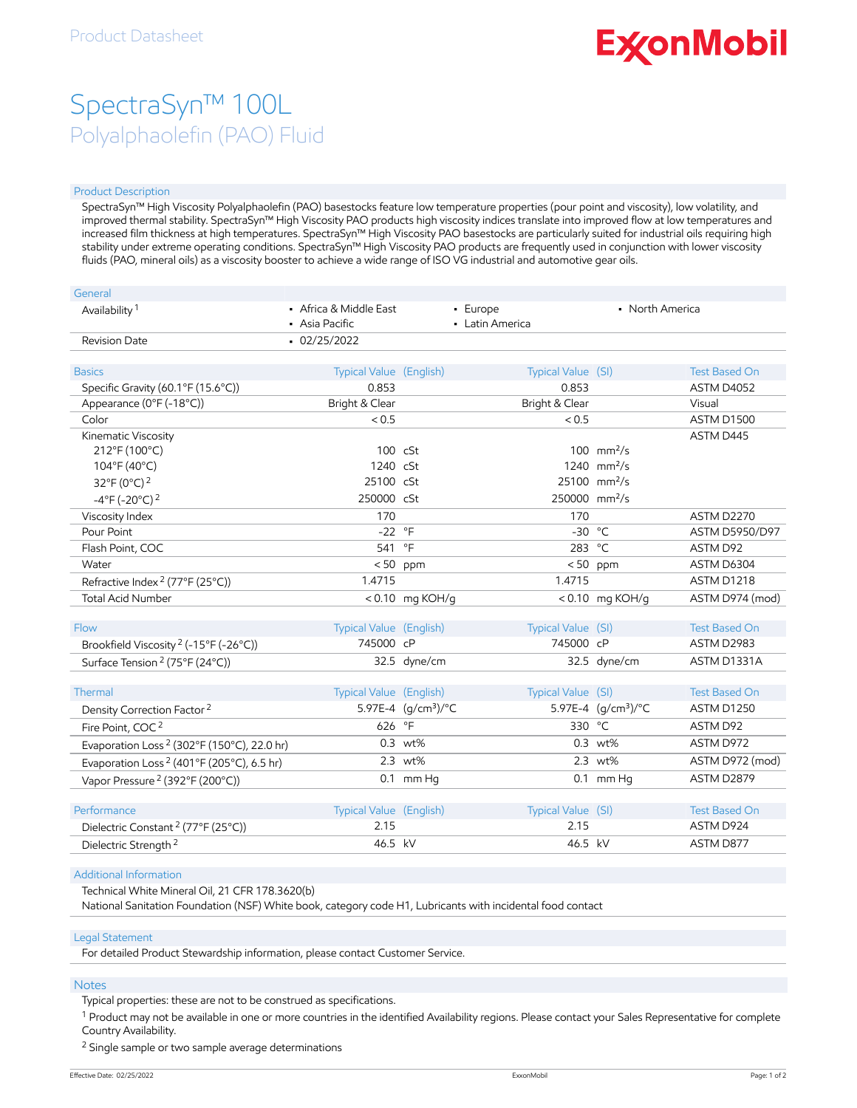# **ExconMobil**

## SpectraSyn™ 100L Polyalphaolefin (PAO) Fluid

#### Product Description

SpectraSyn™ High Viscosity Polyalphaolefin (PAO) basestocks feature low temperature properties (pour point and viscosity), low volatility, and improved thermal stability. SpectraSyn™ High Viscosity PAO products high viscosity indices translate into improved flow at low temperatures and increased film thickness at high temperatures. SpectraSyn™ High Viscosity PAO basestocks are particularly suited for industrial oils requiring high stability under extreme operating conditions. SpectraSyn™ High Viscosity PAO products are frequently used in conjunction with lower viscosity fluids (PAO, mineral oils) as a viscosity booster to achieve a wide range of ISO VG industrial and automotive gear oils.

| General                                                |                                          |                              |                             |                                 |                      |
|--------------------------------------------------------|------------------------------------------|------------------------------|-----------------------------|---------------------------------|----------------------|
| Availability <sup>1</sup>                              | • Africa & Middle East<br>• Asia Pacific |                              | - Europe<br>• Latin America | • North America                 |                      |
| <b>Revision Date</b>                                   | $-02/25/2022$                            |                              |                             |                                 |                      |
|                                                        |                                          |                              |                             |                                 |                      |
| <b>Basics</b>                                          | Typical Value (English)                  |                              | Typical Value (SI)          |                                 | <b>Test Based On</b> |
| Specific Gravity (60.1°F (15.6°C))                     | 0.853                                    |                              | 0.853                       |                                 | ASTM D4052           |
| Appearance (0°F (-18°C))                               | Bright & Clear                           |                              | Bright & Clear              |                                 | Visual               |
| Color                                                  | < 0.5                                    |                              | < 0.5                       |                                 | ASTM D1500           |
| Kinematic Viscosity                                    |                                          |                              |                             |                                 | ASTM D445            |
| 212°F (100°C)                                          | 100 cSt                                  |                              |                             | 100 $mm^2/s$                    |                      |
| 104°F (40°C)                                           | 1240 cSt                                 |                              |                             | 1240 $mm^2/s$                   |                      |
| 32°F (0°C) <sup>2</sup>                                | 25100 cSt                                |                              |                             | $25100$ mm <sup>2</sup> /s      |                      |
| $-4^{\circ}$ F (-20 $^{\circ}$ C) <sup>2</sup>         | 250000 cSt                               |                              | 250000 mm <sup>2</sup> /s   |                                 |                      |
| Viscosity Index                                        | 170                                      |                              | 170                         |                                 | ASTM D2270           |
| Pour Point                                             | $-22$ °F                                 |                              | $-30$ °C                    |                                 | ASTM D5950/D97       |
| Flash Point, COC                                       | 541                                      | $\circ$ F                    | 283 °C                      |                                 | ASTM D92             |
| Water                                                  | < 50                                     | ppm                          | < 50                        | ppm                             | ASTM D6304           |
| Refractive Index <sup>2</sup> (77°F (25°C))            | 1.4715                                   |                              | 1.4715                      |                                 | ASTM D1218           |
| <b>Total Acid Number</b>                               |                                          | <0.10 mg KOH/g               |                             | $< 0.10$ mg KOH/g               | ASTM D974 (mod)      |
|                                                        |                                          |                              |                             |                                 |                      |
| Flow                                                   | Typical Value (English)                  |                              | Typical Value (SI)          |                                 | <b>Test Based On</b> |
| Brookfield Viscosity <sup>2</sup> (-15°F (-26°C))      | 745000 cP                                |                              | 745000 cP                   |                                 | ASTM D2983           |
| Surface Tension <sup>2</sup> (75°F (24°C))             |                                          | 32.5 dyne/cm                 |                             | 32.5 dyne/cm                    | ASTM D1331A          |
|                                                        |                                          |                              |                             |                                 |                      |
| Thermal                                                | Typical Value (English)                  |                              | Typical Value (SI)          |                                 | <b>Test Based On</b> |
| Density Correction Factor <sup>2</sup>                 |                                          | 5.97E-4 $(q/cm^3)/^{\circ}C$ |                             | 5.97E-4 (g/cm <sup>3</sup> )/°C | <b>ASTM D1250</b>    |
| Fire Point, COC <sup>2</sup>                           | 626                                      | $^{\circ}$ F                 | 330 °C                      |                                 | ASTM D92             |
| Evaporation Loss <sup>2</sup> (302°F (150°C), 22.0 hr) |                                          | 0.3 wt%                      |                             | $0.3 \text{ wt\%}$              | ASTM D972            |
| Evaporation Loss <sup>2</sup> (401°F (205°C), 6.5 hr)  |                                          | 2.3 wt%                      |                             | 2.3 wt%                         | ASTM D972 (mod)      |
| Vapor Pressure <sup>2</sup> (392°F (200°C))            |                                          | $0.1$ mm Hq                  |                             | $0.1$ mm Hq                     | ASTM D2879           |
|                                                        |                                          |                              |                             |                                 |                      |
| Performance                                            | Typical Value (English)                  |                              | Typical Value (SI)          |                                 | <b>Test Based On</b> |
| Dielectric Constant <sup>2</sup> (77°F (25°C))         | 2.15                                     |                              | 2.15                        |                                 | ASTM D924            |
| Dielectric Strength <sup>2</sup>                       | 46.5 kV                                  |                              | 46.5 kV                     |                                 | ASTM D877            |
|                                                        |                                          |                              |                             |                                 |                      |

#### Additional Information

Technical White Mineral Oil, 21 CFR 178.3620(b)

National Sanitation Foundation (NSF) White book, category code H1, Lubricants with incidental food contact

#### Legal Statement

For detailed Product Stewardship information, please contact Customer Service.

#### Notes

Typical properties: these are not to be construed as specifications.

 $^1$  Product may not be available in one or more countries in the identified Availability regions. Please contact your Sales Representative for complete Country Availability.

<sup>2</sup> Single sample or two sample average determinations